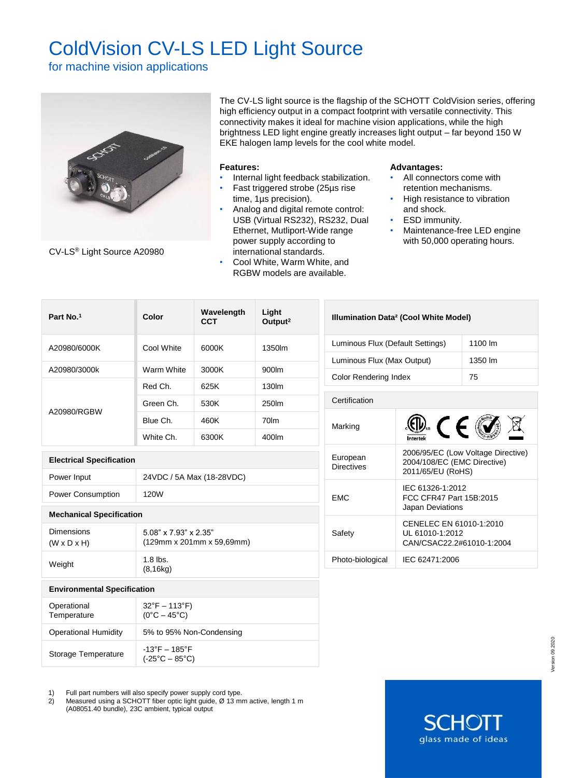# ColdVision CV-LS LED Light Source

for machine vision applications



CV-LS® Light Source A20980

The CV-LS light source is the flagship of the SCHOTT ColdVision series, offering high efficiency output in a compact footprint with versatile connectivity. This connectivity makes it ideal for machine vision applications, while the high brightness LED light engine greatly increases light output – far beyond 150 W EKE halogen lamp levels for the cool white model.

## **Features:**

- Internal light feedback stabilization.
- Fast triggered strobe (25µs rise time, 1µs precision).
- Analog and digital remote control: USB (Virtual RS232), RS232, Dual Ethernet, Mutliport-Wide range power supply according to international standards.
- Cool White, Warm White, and RGBW models are available.

## **Advantages:**

- All connectors come with retention mechanisms.
- High resistance to vibration and shock.
- **ESD** immunity.
- Maintenance-free LED engine with 50,000 operating hours.

**SCHO** 

glass made of ideas

| Part No.1                                                                                   | Light<br>Wavelength<br>Color<br>Output <sup>2</sup><br><b>CCT</b> |       |        | Illumination Data <sup>2</sup> (Cool White Model) |                                                                                        |  |  |
|---------------------------------------------------------------------------------------------|-------------------------------------------------------------------|-------|--------|---------------------------------------------------|----------------------------------------------------------------------------------------|--|--|
| A20980/6000K                                                                                | Cool White                                                        | 6000K | 1350lm |                                                   | Luminous Flux (Default Settings)                                                       |  |  |
|                                                                                             |                                                                   |       |        |                                                   | Luminous Flux (Max Output)<br>1350 lm                                                  |  |  |
| A20980/3000k                                                                                | Warm White                                                        | 3000K | 900lm  | <b>Color Rendering Index</b><br>75                |                                                                                        |  |  |
| A20980/RGBW                                                                                 | Red Ch.                                                           | 625K  | 130lm  |                                                   |                                                                                        |  |  |
|                                                                                             | Green Ch.                                                         | 530K  | 250lm  |                                                   | Certification                                                                          |  |  |
|                                                                                             | Blue Ch.                                                          | 460K  | 70lm   | Marking                                           |                                                                                        |  |  |
|                                                                                             | White Ch.                                                         | 6300K | 400lm  |                                                   | $\circledR$ (E)                                                                        |  |  |
| <b>Electrical Specification</b>                                                             |                                                                   |       |        | European<br><b>Directives</b>                     | 2006/95/EC (Low Voltage Directive)<br>2004/108/EC (EMC Directive)<br>2011/65/EU (RoHS) |  |  |
| Power Input                                                                                 | 24VDC / 5A Max (18-28VDC)                                         |       |        |                                                   |                                                                                        |  |  |
| <b>Power Consumption</b>                                                                    | 120W                                                              |       |        | <b>EMC</b>                                        | IEC 61326-1:2012<br>FCC CFR47 Part 15B:2015<br>Japan Deviations                        |  |  |
| <b>Mechanical Specification</b>                                                             |                                                                   |       |        |                                                   |                                                                                        |  |  |
| <b>Dimensions</b><br>$(W \times D \times H)$                                                | 5.08" x 7.93" x 2.35"<br>(129mm x 201mm x 59,69mm)                |       |        | Safety                                            | CENELEC EN 61010-1:2010<br>UL 61010-1:2012<br>CAN/CSAC22.2#61010-1:2004                |  |  |
| Weight                                                                                      | $1.8$ lbs.<br>(8, 16kg)                                           |       |        | Photo-biological                                  | IEC 62471:2006                                                                         |  |  |
| <b>Environmental Specification</b>                                                          |                                                                   |       |        |                                                   |                                                                                        |  |  |
| Operational<br>$32^{\circ}F - 113^{\circ}F$<br>Temperature<br>$(0^{\circ}C - 45^{\circ}C)$  |                                                                   |       |        |                                                   |                                                                                        |  |  |
| <b>Operational Humidity</b>                                                                 | 5% to 95% Non-Condensing                                          |       |        |                                                   |                                                                                        |  |  |
| $-13^{\circ}$ F - 185 $^{\circ}$ F<br>Storage Temperature<br>$(-25^{\circ}C - 85^{\circ}C)$ |                                                                   |       |        |                                                   |                                                                                        |  |  |

1) Full part numbers will also specify power supply cord type.

2) Measured using a SCHOTT fiber optic light guide, Ø 13 mm active, length 1 m (A08051.40 bundle), 23C ambient, typical output